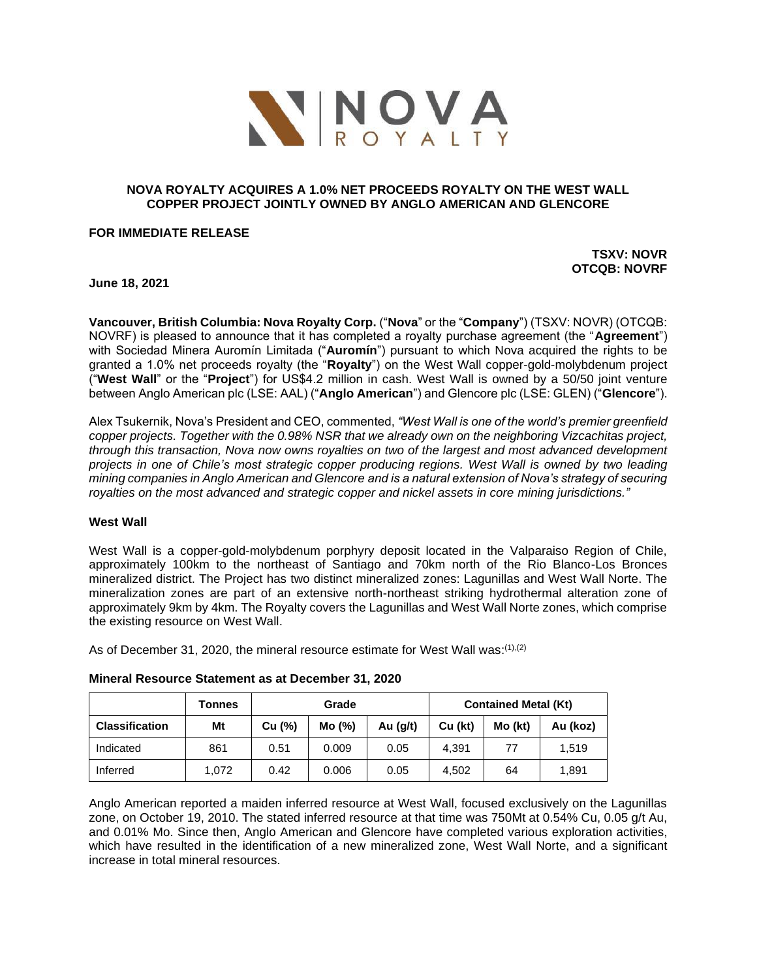

# **NOVA ROYALTY ACQUIRES A 1.0% NET PROCEEDS ROYALTY ON THE WEST WALL COPPER PROJECT JOINTLY OWNED BY ANGLO AMERICAN AND GLENCORE**

#### **FOR IMMEDIATE RELEASE**

**TSXV: NOVR OTCQB: NOVRF**

**June 18, 2021**

**Vancouver, British Columbia: Nova Royalty Corp.** ("**Nova**" or the "**Company**") (TSXV: NOVR) (OTCQB: NOVRF) is pleased to announce that it has completed a royalty purchase agreement (the "**Agreement**") with Sociedad Minera Auromín Limitada ("**Auromín**") pursuant to which Nova acquired the rights to be granted a 1.0% net proceeds royalty (the "**Royalty**") on the West Wall copper-gold-molybdenum project ("**West Wall**" or the "**Project**") for US\$4.2 million in cash. West Wall is owned by a 50/50 joint venture between Anglo American plc (LSE: AAL) ("**Anglo American**") and Glencore plc (LSE: GLEN) ("**Glencore**").

Alex Tsukernik, Nova's President and CEO, commented, *"West Wall is one of the world's premier greenfield copper projects. Together with the 0.98% NSR that we already own on the neighboring Vizcachitas project, through this transaction, Nova now owns royalties on two of the largest and most advanced development projects in one of Chile's most strategic copper producing regions. West Wall is owned by two leading mining companies in Anglo American and Glencore and is a natural extension of Nova's strategy of securing royalties on the most advanced and strategic copper and nickel assets in core mining jurisdictions."* 

## **West Wall**

West Wall is a copper-gold-molybdenum porphyry deposit located in the Valparaiso Region of Chile, approximately 100km to the northeast of Santiago and 70km north of the Rio Blanco-Los Bronces mineralized district. The Project has two distinct mineralized zones: Lagunillas and West Wall Norte. The mineralization zones are part of an extensive north-northeast striking hydrothermal alteration zone of approximately 9km by 4km. The Royalty covers the Lagunillas and West Wall Norte zones, which comprise the existing resource on West Wall.

As of December 31, 2020, the mineral resource estimate for West Wall was:<sup>(1),(2)</sup>

|                       | Tonnes | Grade  |       |            | <b>Contained Metal (Kt)</b> |         |          |
|-----------------------|--------|--------|-------|------------|-----------------------------|---------|----------|
| <b>Classification</b> | Mt     | Cu (%) | Mo(%) | Au $(g/t)$ | Cu (kt)                     | Mo (kt) | Au (koz) |
| Indicated             | 861    | 0.51   | 0.009 | 0.05       | 4.391                       | 77      | 1.519    |
| Inferred              | 1.072  | 0.42   | 0.006 | 0.05       | 4.502                       | 64      | 1.891    |

#### **Mineral Resource Statement as at December 31, 2020**

Anglo American reported a maiden inferred resource at West Wall, focused exclusively on the Lagunillas zone, on October 19, 2010. The stated inferred resource at that time was 750Mt at 0.54% Cu, 0.05 g/t Au, and 0.01% Mo. Since then, Anglo American and Glencore have completed various exploration activities, which have resulted in the identification of a new mineralized zone, West Wall Norte, and a significant increase in total mineral resources.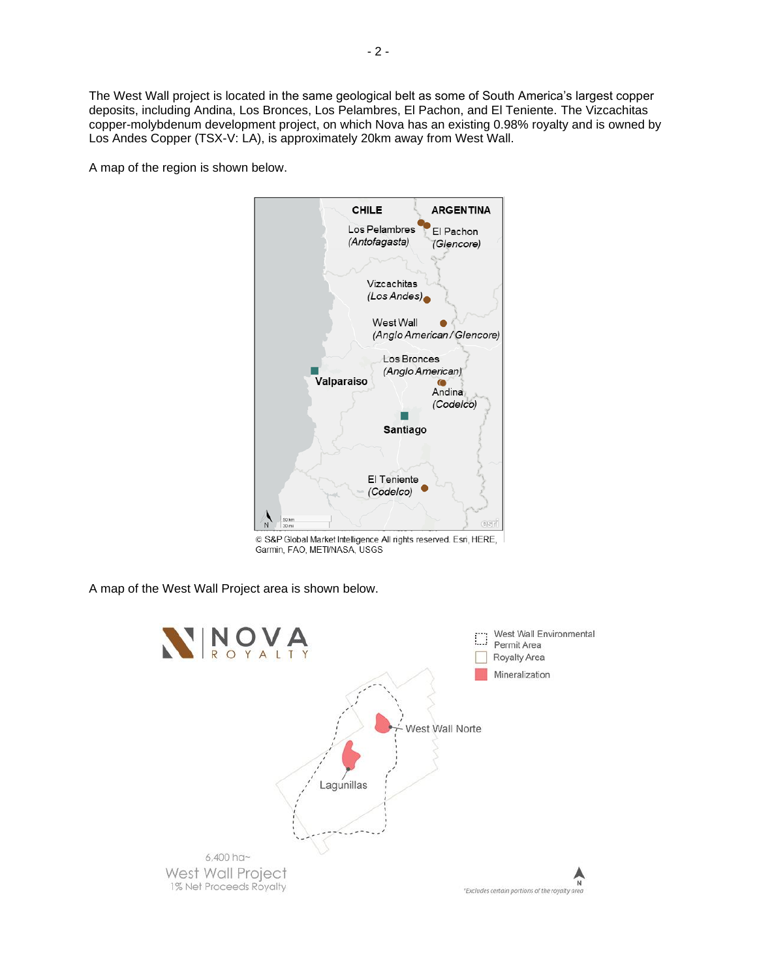The West Wall project is located in the same geological belt as some of South America's largest copper deposits, including Andina, Los Bronces, Los Pelambres, El Pachon, and El Teniente. The Vizcachitas copper-molybdenum development project, on which Nova has an existing 0.98% royalty and is owned by Los Andes Copper (TSX-V: LA), is approximately 20km away from West Wall.

A map of the region is shown below.



C S&P Global Market Intelligence All rights reserved. Esri, HERE, Garmin, FAO, METI/NASA, USGS

A map of the West Wall Project area is shown below.

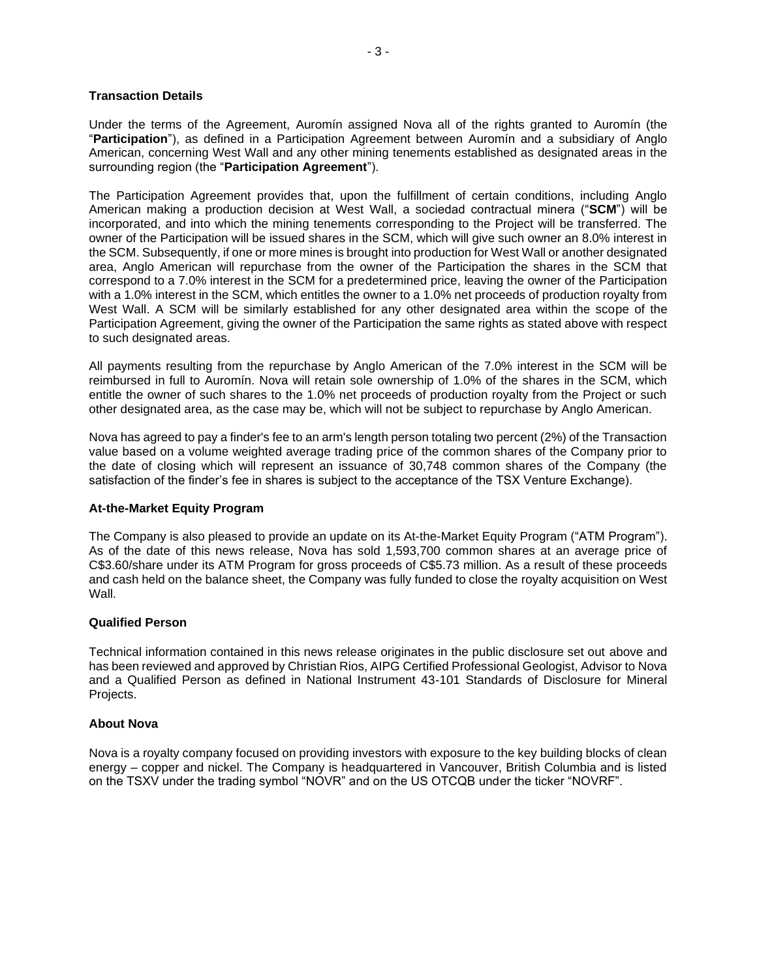## **Transaction Details**

Under the terms of the Agreement, Auromín assigned Nova all of the rights granted to Auromín (the "**Participation**"), as defined in a Participation Agreement between Auromín and a subsidiary of Anglo American, concerning West Wall and any other mining tenements established as designated areas in the surrounding region (the "**Participation Agreement**").

The Participation Agreement provides that, upon the fulfillment of certain conditions, including Anglo American making a production decision at West Wall, a sociedad contractual minera ("**SCM**") will be incorporated, and into which the mining tenements corresponding to the Project will be transferred. The owner of the Participation will be issued shares in the SCM, which will give such owner an 8.0% interest in the SCM. Subsequently, if one or more mines is brought into production for West Wall or another designated area, Anglo American will repurchase from the owner of the Participation the shares in the SCM that correspond to a 7.0% interest in the SCM for a predetermined price, leaving the owner of the Participation with a 1.0% interest in the SCM, which entitles the owner to a 1.0% net proceeds of production royalty from West Wall. A SCM will be similarly established for any other designated area within the scope of the Participation Agreement, giving the owner of the Participation the same rights as stated above with respect to such designated areas.

All payments resulting from the repurchase by Anglo American of the 7.0% interest in the SCM will be reimbursed in full to Auromín. Nova will retain sole ownership of 1.0% of the shares in the SCM, which entitle the owner of such shares to the 1.0% net proceeds of production royalty from the Project or such other designated area, as the case may be, which will not be subject to repurchase by Anglo American.

Nova has agreed to pay a finder's fee to an arm's length person totaling two percent (2%) of the Transaction value based on a volume weighted average trading price of the common shares of the Company prior to the date of closing which will represent an issuance of 30,748 common shares of the Company (the satisfaction of the finder's fee in shares is subject to the acceptance of the TSX Venture Exchange).

## **At-the-Market Equity Program**

The Company is also pleased to provide an update on its At-the-Market Equity Program ("ATM Program"). As of the date of this news release, Nova has sold 1,593,700 common shares at an average price of C\$3.60/share under its ATM Program for gross proceeds of C\$5.73 million. As a result of these proceeds and cash held on the balance sheet, the Company was fully funded to close the royalty acquisition on West Wall.

## **Qualified Person**

Technical information contained in this news release originates in the public disclosure set out above and has been reviewed and approved by Christian Rios, AIPG Certified Professional Geologist, Advisor to Nova and a Qualified Person as defined in National Instrument 43-101 Standards of Disclosure for Mineral Projects.

#### **About Nova**

Nova is a royalty company focused on providing investors with exposure to the key building blocks of clean energy – copper and nickel. The Company is headquartered in Vancouver, British Columbia and is listed on the TSXV under the trading symbol "NOVR" and on the US OTCQB under the ticker "NOVRF".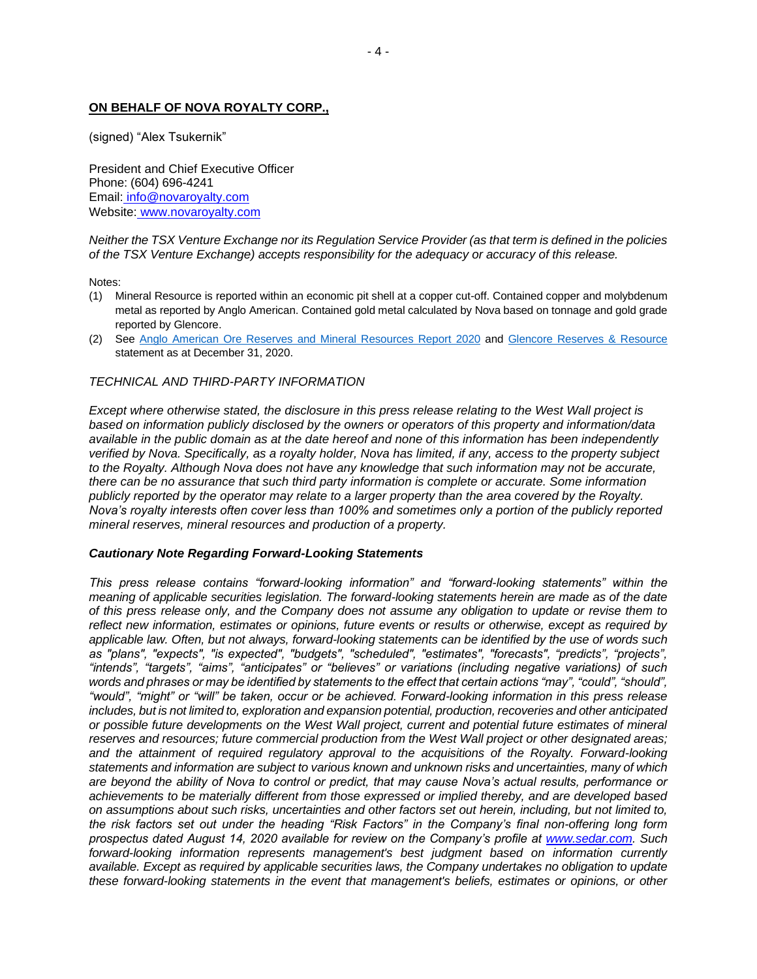# **ON BEHALF OF NOVA ROYALTY CORP.,**

(signed) "Alex Tsukernik"

President and Chief Executive Officer Phone: (604) 696-4241 Email: [info@novaroyalty.com](mailto:info@novaroyalty.com) Website: [www.novaroyalty.com](http://www.novaroyalty.com/)

*Neither the TSX Venture Exchange nor its Regulation Service Provider (as that term is defined in the policies of the TSX Venture Exchange) accepts responsibility for the adequacy or accuracy of this release.*

Notes:

- (1) Mineral Resource is reported within an economic pit shell at a copper cut-off. Contained copper and molybdenum metal as reported by Anglo American. Contained gold metal calculated by Nova based on tonnage and gold grade reported by Glencore.
- (2) See [Anglo American Ore Reserves and Mineral Resources Report 2020](https://www.angloamerican.com/~/media/Files/A/Anglo-American-Group/PLC/investors/annual-reporting/2021/aa-ore-reserves-and-mineral-resources-report-2020.pdf) and [Glencore Reserves & Resource](https://www.glencore.com/dam/jcr:3c05a365-e6ae-4c1a-9439-960249a42e35/GLEN_2020_Resources_reserves_report.pdf) statement as at December 31, 2020.

#### *TECHNICAL AND THIRD-PARTY INFORMATION*

*Except where otherwise stated, the disclosure in this press release relating to the West Wall project is based on information publicly disclosed by the owners or operators of this property and information/data available in the public domain as at the date hereof and none of this information has been independently verified by Nova. Specifically, as a royalty holder, Nova has limited, if any, access to the property subject to the Royalty. Although Nova does not have any knowledge that such information may not be accurate, there can be no assurance that such third party information is complete or accurate. Some information publicly reported by the operator may relate to a larger property than the area covered by the Royalty. Nova's royalty interests often cover less than 100% and sometimes only a portion of the publicly reported mineral reserves, mineral resources and production of a property.*

#### *Cautionary Note Regarding Forward-Looking Statements*

*This press release contains "forward-looking information" and "forward-looking statements" within the meaning of applicable securities legislation. The forward-looking statements herein are made as of the date of this press release only, and the Company does not assume any obligation to update or revise them to reflect new information, estimates or opinions, future events or results or otherwise, except as required by applicable law. Often, but not always, forward-looking statements can be identified by the use of words such as "plans", "expects", "is expected", "budgets", "scheduled", "estimates", "forecasts", "predicts", "projects", "intends", "targets", "aims", "anticipates" or "believes" or variations (including negative variations) of such words and phrases or may be identified by statements to the effect that certain actions "may", "could", "should", "would", "might" or "will" be taken, occur or be achieved. Forward-looking information in this press release includes, but is not limited to, exploration and expansion potential, production, recoveries and other anticipated or possible future developments on the West Wall project, current and potential future estimates of mineral reserves and resources; future commercial production from the West Wall project or other designated areas; and the attainment of required regulatory approval to the acquisitions of the Royalty. Forward-looking statements and information are subject to various known and unknown risks and uncertainties, many of which are beyond the ability of Nova to control or predict, that may cause Nova's actual results, performance or achievements to be materially different from those expressed or implied thereby, and are developed based on assumptions about such risks, uncertainties and other factors set out herein, including, but not limited to, the risk factors set out under the heading "Risk Factors" in the Company's final non-offering long form prospectus dated August 14, 2020 available for review on the Company's profile at [www.sedar.com.](http://www.sedar.com/) Such forward-looking information represents management's best judgment based on information currently available. Except as required by applicable securities laws, the Company undertakes no obligation to update these forward-looking statements in the event that management's beliefs, estimates or opinions, or other*